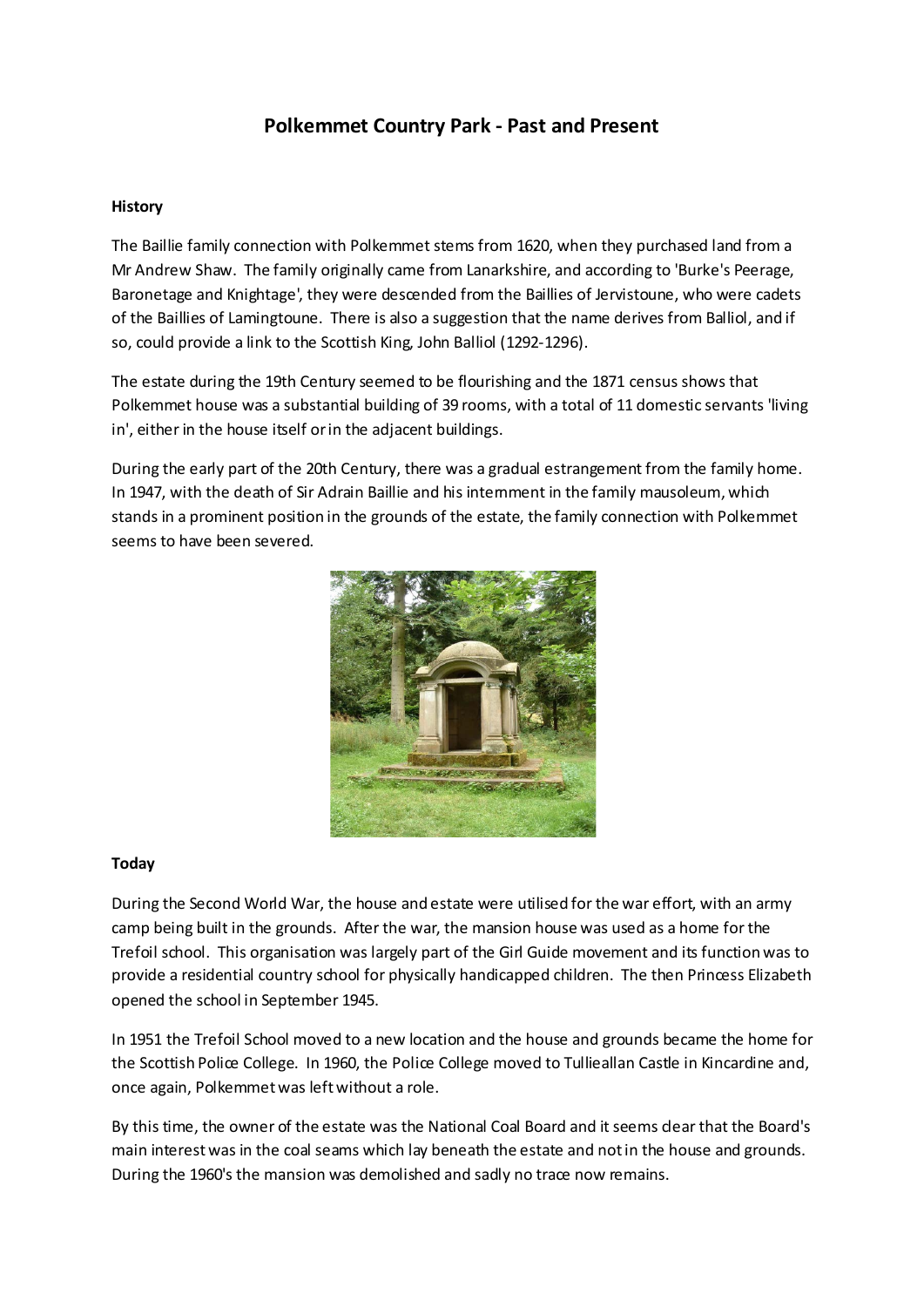# **Polkemmet Country Park - Past and Present**

### **History**

The Baillie family connection with Polkemmet stems from 1620, when they purchased land from a Mr Andrew Shaw. The family originally came from Lanarkshire, and according to 'Burke's Peerage, Baronetage and Knightage', they were descended from the Baillies of Jervistoune, who were cadets of the Baillies of Lamingtoune. There is also a suggestion that the name derives from Balliol, and if so, could provide a link to the Scottish King, John Balliol (1292-1296).

The estate during the 19th Century seemed to be flourishing and the 1871 census shows that Polkemmet house was a substantial building of 39 rooms, with a total of 11 domestic servants 'living in', either in the house itself or in the adjacent buildings.

During the early part of the 20th Century, there was a gradual estrangement from the family home. In 1947, with the death of Sir Adrain Baillie and his internment in the family mausoleum, which stands in a prominent position in the grounds of the estate, the family connection with Polkemmet seems to have been severed.



#### **Today**

During the Second World War, the house and estate were utilised for the war effort, with an army camp being built in the grounds. After the war, the mansion house was used as a home for the Trefoil school. This organisation was largely part of the Girl Guide movement and its function was to provide a residential country school for physically handicapped children. The then Princess Elizabeth opened the school in September 1945.

In 1951 the Trefoil School moved to a new location and the house and grounds became the home for the Scottish Police College. In 1960, the Police College moved to Tullieallan Castle in Kincardine and, once again, Polkemmet was left without a role.

By this time, the owner of the estate was the National Coal Board and it seems dear that the Board's main interest was in the coal seams which lay beneath the estate and not in the house and grounds. During the 1960's the mansion was demolished and sadly no trace now remains.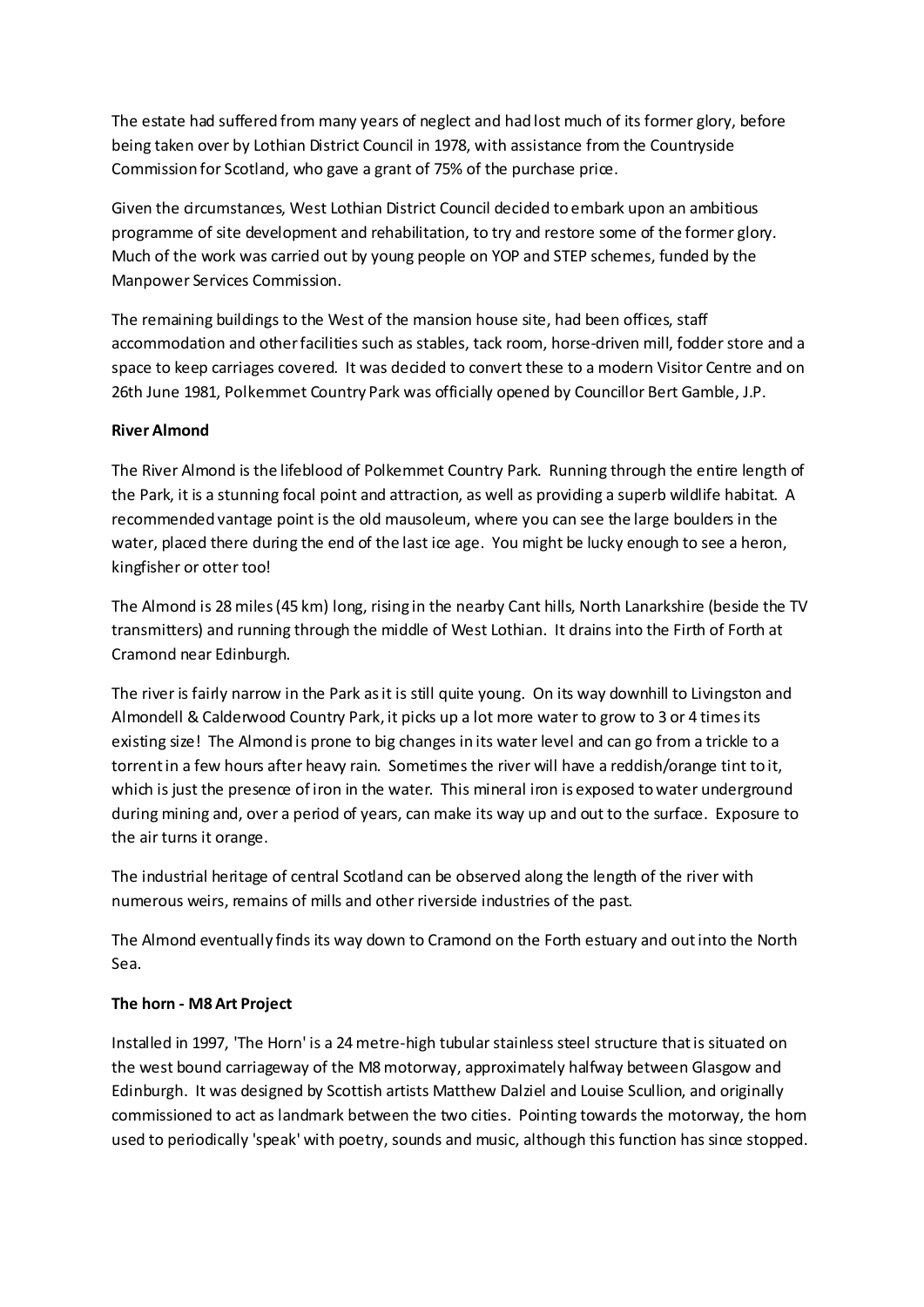The estate had suffered from many years of neglect and had lost much of its former glory, before being taken over by Lothian District Council in 1978, with assistance from the Countryside Commission for Scotland, who gave a grant of 75% of the purchase price.

Given the circumstances, West Lothian District Council decided to embark upon an ambitious programme of site development and rehabilitation, to try and restore some of the former glory. Much of the work was carried out by young people on YOP and STEP schemes, funded by the Manpower Services Commission.

The remaining buildings to the West of the mansion house site, had been offices, staff accommodation and other facilities such as stables, tack room, horse-driven mill, fodder store and a space to keep carriages covered. It was decided to convert these to a modern Visitor Centre and on 26th June 1981, Polkemmet Country Park was officially opened by Councillor Bert Gamble, J.P.

## **River Almond**

The River Almond is the lifeblood of Polkemmet Country Park. Running through the entire length of the Park, it is a stunning focal point and attraction, as well as providing a superb wildlife habitat. A recommended vantage point is the old mausoleum, where you can see the large boulders in the water, placed there during the end of the last ice age. You might be lucky enough to see a heron, kingfisher or otter too!

The Almond is 28 miles (45 km) long, rising in the nearby Cant hills, North Lanarkshire (beside the TV transmitters) and running through the middle of West Lothian. It drains into the Firth of Forth at Cramond near Edinburgh.

The river is fairly narrow in the Park as it is still quite young. On its way downhill to Livingston and Almondell & Calderwood Country Park, it picks up a lot more water to grow to 3 or 4 times its existing size! The Almond is prone to big changes in its water level and can go from a trickle to a torrent in a few hours after heavy rain. Sometimes the river will have a reddish/orange tint to it, which is just the presence of iron in the water. This mineral iron is exposed to water underground during mining and, over a period of years, can make its way up and out to the surface. Exposure to the air turns it orange.

The industrial heritage of central Scotland can be observed along the length of the river with numerous weirs, remains of mills and other riverside industries of the past.

The Almond eventually finds its way down to Cramond on the Forth estuary and out into the North Sea.

## **The horn - M8 Art Project**

Installed in 1997, 'The Horn' is a 24 metre-high tubular stainless steel structure that is situated on the west bound carriageway of the M8 motorway, approximately halfway between Glasgow and Edinburgh. It was designed by Scottish artists Matthew Dalziel and Louise Scullion, and originally commissioned to act as landmark between the two cities. Pointing towards the motorway, the horn used to periodically 'speak' with poetry, sounds and music, although this function has since stopped.